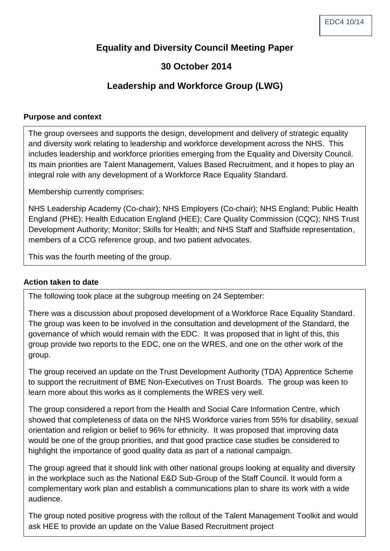## **Equality and Diversity Council Meeting Paper**

## **30 October 2014**

# **Leadership and Workforce Group (LWG)**

#### **Purpose and context**

The group oversees and supports the design, development and delivery of strategic equality and diversity work relating to leadership and workforce development across the NHS. This includes leadership and workforce priorities emerging from the Equality and Diversity Council. Its main priorities are Talent Management, Values Based Recruitment, and it hopes to play an integral role with any development of a Workforce Race Equality Standard.

Membership currently comprises:

NHS Leadership Academy (Co-chair); NHS Employers (Co-chair); NHS England; Public Health England (PHE); Health Education England (HEE); Care Quality Commission (CQC); NHS Trust Development Authority; Monitor; Skills for Health; and NHS Staff and Staffside representation, members of a CCG reference group, and two patient advocates.

This was the fourth meeting of the group.

### **Action taken to date**

The following took place at the subgroup meeting on 24 September:

There was a discussion about proposed development of a Workforce Race Equality Standard. The group was keen to be involved in the consultation and development of the Standard, the governance of which would remain with the EDC. It was proposed that in light of this, this group provide two reports to the EDC, one on the WRES, and one on the other work of the group.

The group received an update on the Trust Development Authority (TDA) Apprentice Scheme to support the recruitment of BME Non-Executives on Trust Boards. The group was keen to learn more about this works as it complements the WRES very well.

The group considered a report from the Health and Social Care Information Centre, which showed that completeness of data on the NHS Workforce varies from 55% for disability, sexual orientation and religion or belief to 96% for ethnicity. It was proposed that improving data would be one of the group priorities, and that good practice case studies be considered to highlight the importance of good quality data as part of a national campaign.

The group agreed that it should link with other national groups looking at equality and diversity in the workplace such as the National E&D Sub-Group of the Staff Council. It would form a complementary work plan and establish a communications plan to share its work with a wide audience.

The group noted positive progress with the rollout of the Talent Management Toolkit and would ask HEE to provide an update on the Value Based Recruitment project